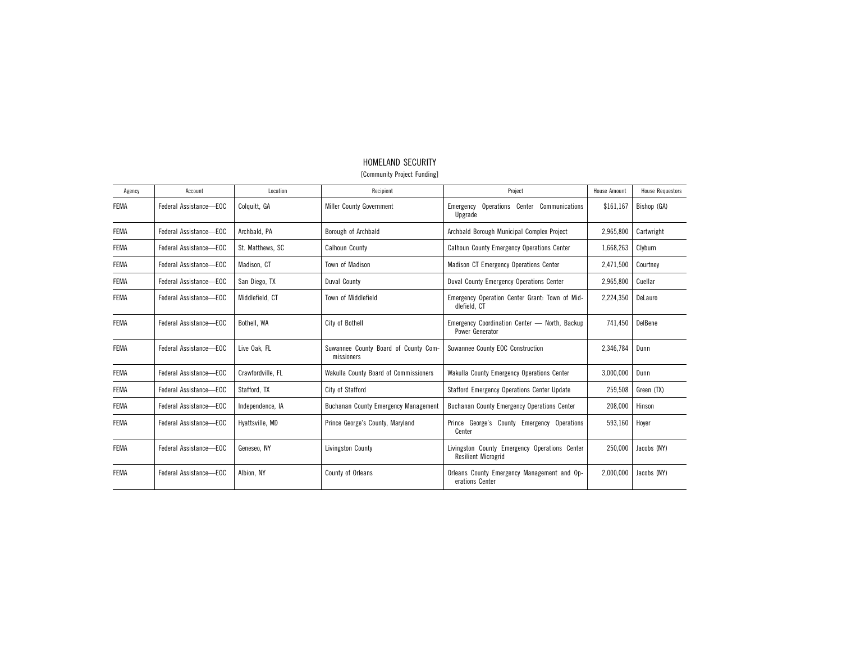| Agency      | Account                | Location          | Recipient                                          | Project                                                                     | <b>House Amount</b> | <b>House Requestors</b> |
|-------------|------------------------|-------------------|----------------------------------------------------|-----------------------------------------------------------------------------|---------------------|-------------------------|
| <b>FEMA</b> | Federal Assistance-EOC | Colquitt, GA      | <b>Miller County Government</b>                    | Operations Center Communications<br>Emergency<br>Upgrade                    | \$161,167           | Bishop (GA)             |
| <b>FEMA</b> | Federal Assistance-EOC | Archbald, PA      | Borough of Archbald                                | Archbald Borough Municipal Complex Project                                  | 2,965,800           | Cartwright              |
| <b>FEMA</b> | Federal Assistance-EOC | St. Matthews, SC  | <b>Calhoun County</b>                              | <b>Calhoun County Emergency Operations Center</b>                           | 1,668,263           | Clyburn                 |
| <b>FEMA</b> | Federal Assistance-EOC | Madison, CT       | Town of Madison                                    | Madison CT Emergency Operations Center                                      | 2,471,500           | Courtney                |
| <b>FEMA</b> | Federal Assistance-EOC | San Diego, TX     | Duval County                                       | Duval County Emergency Operations Center                                    | 2,965,800           | Cuellar                 |
| <b>FEMA</b> | Federal Assistance-EOC | Middlefield, CT   | Town of Middlefield                                | Emergency Operation Center Grant: Town of Mid-<br>dlefield, CT              | 2,224,350           | DeLauro                 |
| <b>FEMA</b> | Federal Assistance-EOC | Bothell, WA       | City of Bothell                                    | Emergency Coordination Center - North, Backup<br>Power Generator            | 741.450             | DelBene                 |
| <b>FEMA</b> | Federal Assistance-EOC | Live Oak. FL      | Suwannee County Board of County Com-<br>missioners | Suwannee County EOC Construction                                            | 2,346,784           | Dunn                    |
| <b>FEMA</b> | Federal Assistance-EOC | Crawfordville, FL | Wakulla County Board of Commissioners              | Wakulla County Emergency Operations Center                                  | 3,000,000           | Dunn                    |
| <b>FEMA</b> | Federal Assistance-EOC | Stafford, TX      | City of Stafford                                   | Stafford Emergency Operations Center Update                                 | 259,508             | Green (TX)              |
| <b>FEMA</b> | Federal Assistance-EOC | Independence, IA  | <b>Buchanan County Emergency Management</b>        | <b>Buchanan County Emergency Operations Center</b>                          | 208,000             | Hinson                  |
| <b>FEMA</b> | Federal Assistance-EOC | Hyattsville, MD   | Prince George's County, Maryland                   | Prince George's County Emergency Operations<br>Center                       | 593,160             | Hoyer                   |
| <b>FEMA</b> | Federal Assistance-EOC | Geneseo, NY       | Livingston County                                  | Livingston County Emergency Operations Center<br><b>Resilient Microgrid</b> | 250,000             | Jacobs (NY)             |
| <b>FEMA</b> | Federal Assistance-EOC | Albion, NY        | County of Orleans                                  | Orleans County Emergency Management and Op-<br>erations Center              | 2,000,000           | Jacobs (NY)             |

## HOMELAND SECURITY [Community Project Funding]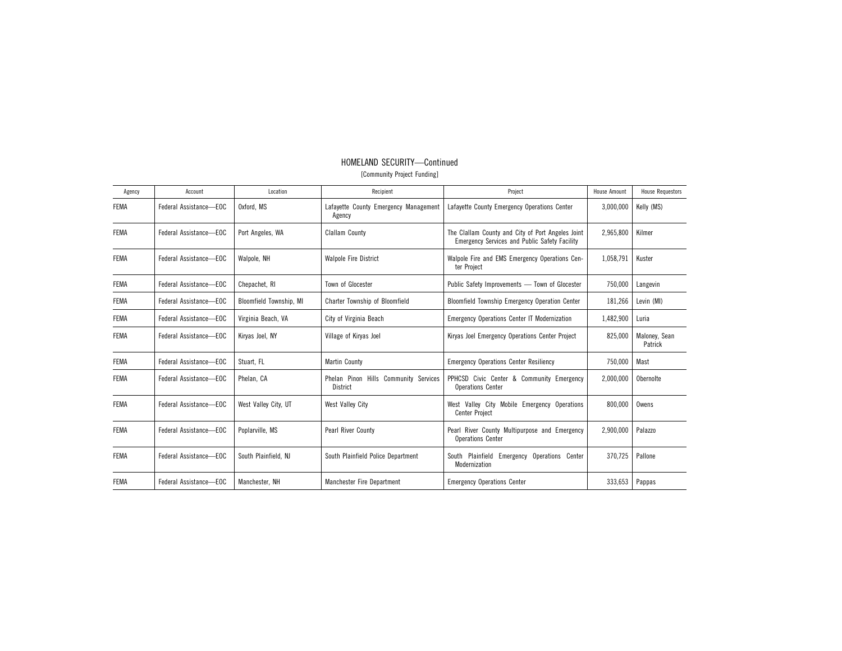| Agency      | Account                | Location                | Recipient                                         | Project                                                                                            | <b>House Amount</b> | <b>House Requestors</b>  |
|-------------|------------------------|-------------------------|---------------------------------------------------|----------------------------------------------------------------------------------------------------|---------------------|--------------------------|
| <b>FEMA</b> | Federal Assistance-EOC | Oxford, MS              | Lafayette County Emergency Management<br>Agency   | Lafayette County Emergency Operations Center                                                       | 3,000,000           | Kelly (MS)               |
| <b>FEMA</b> | Federal Assistance-EOC | Port Angeles, WA        | <b>Clallam County</b>                             | The Clallam County and City of Port Angeles Joint<br>Emergency Services and Public Safety Facility | 2,965,800           | Kilmer                   |
| <b>FEMA</b> | Federal Assistance-EOC | Walpole, NH             | <b>Walpole Fire District</b>                      | Walpole Fire and EMS Emergency Operations Cen-<br>ter Project                                      | 1,058,791           | Kuster                   |
| <b>FEMA</b> | Federal Assistance-EOC | Chepachet, RI           | Town of Glocester                                 | Public Safety Improvements - Town of Glocester                                                     | 750,000             | Langevin                 |
| <b>FEMA</b> | Federal Assistance-EOC | Bloomfield Township, MI | Charter Township of Bloomfield                    | Bloomfield Township Emergency Operation Center                                                     | 181,266             | Levin (MI)               |
| <b>FEMA</b> | Federal Assistance-EOC | Virginia Beach, VA      | City of Virginia Beach                            | <b>Emergency Operations Center IT Modernization</b>                                                | 1,482,900           | Luria                    |
| <b>FEMA</b> | Federal Assistance-EOC | Kirvas Joel, NY         | Village of Kiryas Joel                            | Kiryas Joel Emergency Operations Center Project                                                    | 825,000             | Malonev. Sean<br>Patrick |
| <b>FEMA</b> | Federal Assistance-EOC | Stuart. FL              | <b>Martin County</b>                              | <b>Emergency Operations Center Resiliency</b>                                                      | 750,000             | Mast                     |
| <b>FEMA</b> | Federal Assistance-EOC | Phelan, CA              | Phelan Pinon Hills Community Services<br>District | PPHCSD Civic Center & Community Emergency<br><b>Operations Center</b>                              | 2,000,000           | Obernolte                |
| <b>FEMA</b> | Federal Assistance-EOC | West Valley City, UT    | <b>West Valley City</b>                           | West Valley City<br>Mobile Emergency Operations<br><b>Center Project</b>                           | 800,000             | Owens                    |
| <b>FEMA</b> | Federal Assistance-EOC | Poplarville, MS         | Pearl River County                                | Pearl River County Multipurpose and Emergency<br><b>Operations Center</b>                          | 2,900,000           | Palazzo                  |
| <b>FEMA</b> | Federal Assistance-EOC | South Plainfield, NJ    | South Plainfield Police Department                | South Plainfield Emergency Operations Center<br>Modernization                                      | 370,725             | Pallone                  |
| <b>FEMA</b> | Federal Assistance-EOC | Manchester, NH          | Manchester Fire Department                        | <b>Emergency Operations Center</b>                                                                 | 333,653             | Pappas                   |

## HOMELAND SECURITY—Continued [Community Project Funding]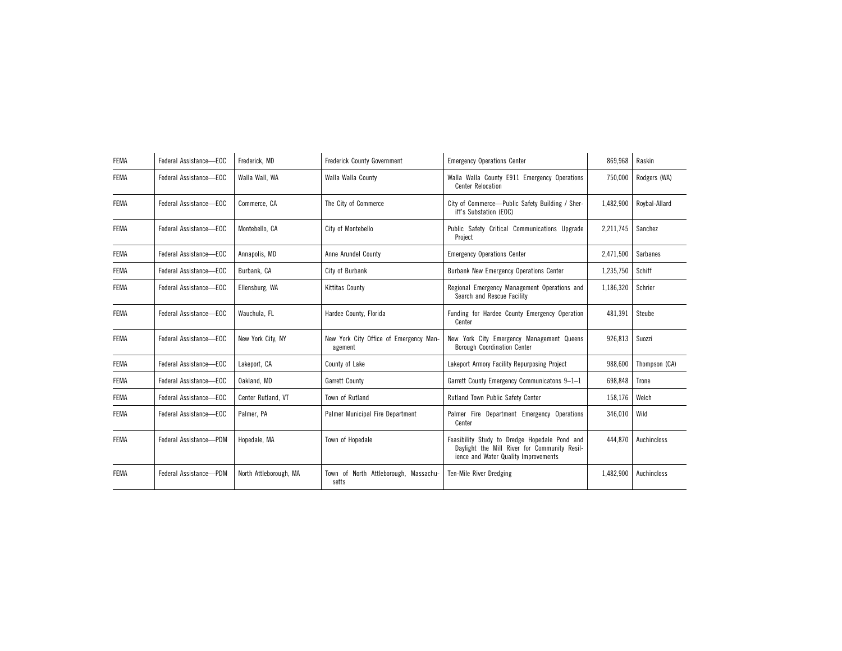| <b>FEMA</b> | Federal Assistance-EOC | Frederick, MD          | <b>Frederick County Government</b>                | <b>Emergency Operations Center</b>                                                                                                    | 869,968   | Raskin        |
|-------------|------------------------|------------------------|---------------------------------------------------|---------------------------------------------------------------------------------------------------------------------------------------|-----------|---------------|
| <b>FEMA</b> | Federal Assistance-EOC | Walla Wall, WA         | Walla Walla County                                | Walla Walla County E911 Emergency Operations<br><b>Center Relocation</b>                                                              | 750,000   | Rodgers (WA)  |
| <b>FEMA</b> | Federal Assistance-EOC | Commerce, CA           | The City of Commerce                              | City of Commerce-Public Safety Building / Sher-<br>iff's Substation (EOC)                                                             | 1,482,900 | Rovbal-Allard |
| <b>FEMA</b> | Federal Assistance-EOC | Montebello, CA         | City of Montebello                                | Public Safety Critical Communications Upgrade<br>Project                                                                              | 2,211,745 | Sanchez       |
| <b>FEMA</b> | Federal Assistance-EOC | Annapolis, MD          | Anne Arundel County                               | <b>Emergency Operations Center</b>                                                                                                    | 2,471,500 | Sarbanes      |
| <b>FEMA</b> | Federal Assistance-EOC | Burbank, CA            | City of Burbank                                   | Burbank New Emergency Operations Center                                                                                               | 1,235,750 | Schiff        |
| <b>FEMA</b> | Federal Assistance-EOC | Ellensburg, WA         | <b>Kittitas County</b>                            | Regional Emergency Management Operations and<br>Search and Rescue Facility                                                            | 1,186,320 | Schrier       |
| <b>FEMA</b> | Federal Assistance-EOC | Wauchula, FL           | Hardee County, Florida                            | Funding for Hardee County Emergency Operation<br>Center                                                                               | 481,391   | Steube        |
| <b>FEMA</b> | Federal Assistance-EOC | New York City, NY      | New York City Office of Emergency Man-<br>agement | New York City Emergency Management Queens<br><b>Borough Coordination Center</b>                                                       | 926,813   | Suozzi        |
| <b>FEMA</b> | Federal Assistance-EOC | Lakeport, CA           | County of Lake                                    | Lakeport Armory Facility Repurposing Project                                                                                          | 988,600   | Thompson (CA) |
| <b>FEMA</b> | Federal Assistance-EOC | Oakland, MD            | Garrett County                                    | Garrett County Emergency Communicatons 9-1-1                                                                                          | 698,848   | Trone         |
| <b>FEMA</b> | Federal Assistance-EOC | Center Rutland. VT     | Town of Rutland                                   | Rutland Town Public Safety Center                                                                                                     | 158,176   | Welch         |
| <b>FEMA</b> | Federal Assistance-EOC | Palmer, PA             | Palmer Municipal Fire Department                  | Palmer Fire Department Emergency Operations<br>Center                                                                                 | 346.010   | Wild          |
| <b>FEMA</b> | Federal Assistance-PDM | Hopedale, MA           | Town of Hopedale                                  | Feasibility Study to Dredge Hopedale Pond and<br>Davlight the Mill River for Community Resil-<br>ience and Water Quality Improvements | 444.870   | Auchincloss   |
| <b>FEMA</b> | Federal Assistance-PDM | North Attleborough, MA | Town of North Attleborough, Massachu-<br>setts    | Ten-Mile River Dredging                                                                                                               | 1,482,900 | Auchincloss   |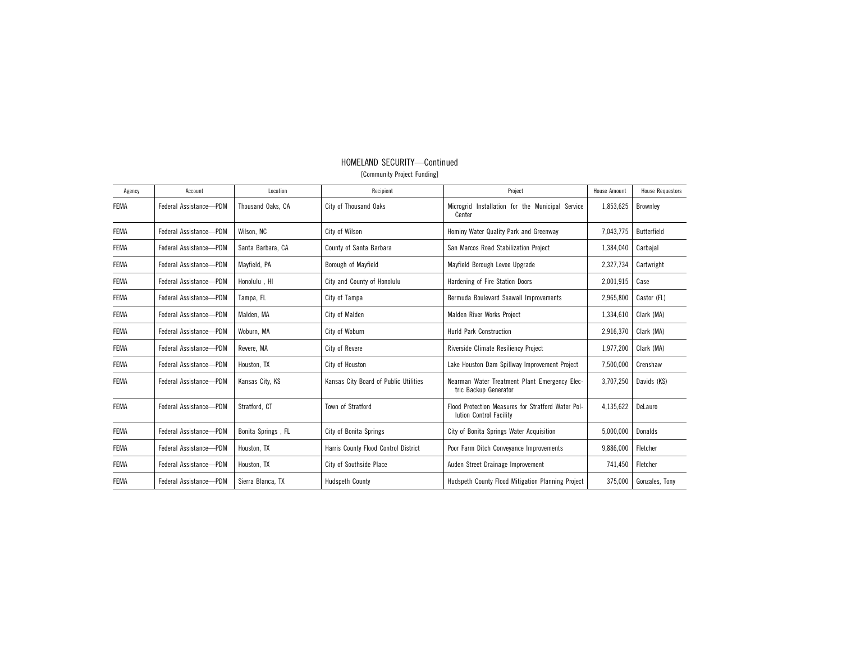| Agency      | Account                | Location           | Recipient                             | Project                                                                       | <b>House Amount</b> | <b>House Requestors</b> |
|-------------|------------------------|--------------------|---------------------------------------|-------------------------------------------------------------------------------|---------------------|-------------------------|
| <b>FEMA</b> | Federal Assistance-PDM | Thousand Oaks, CA  | City of Thousand Oaks                 | Microgrid Installation for the Municipal Service<br>Center                    | 1,853,625           | <b>Brownley</b>         |
| <b>FEMA</b> | Federal Assistance-PDM | Wilson, NC         | City of Wilson                        | Hominy Water Quality Park and Greenway                                        | 7,043,775           | Butterfield             |
| <b>FEMA</b> | Federal Assistance-PDM | Santa Barbara, CA  | County of Santa Barbara               | San Marcos Road Stabilization Project                                         | 1,384,040           | Carbajal                |
| <b>FEMA</b> | Federal Assistance-PDM | Mayfield, PA       | Borough of Mayfield                   | Mayfield Borough Levee Upgrade                                                | 2,327,734           | Cartwright              |
| <b>FEMA</b> | Federal Assistance-PDM | Honolulu, HI       | City and County of Honolulu           | Hardening of Fire Station Doors                                               | 2,001,915           | Case                    |
| <b>FEMA</b> | Federal Assistance-PDM | Tampa, FL          | City of Tampa                         | Bermuda Boulevard Seawall Improvements                                        | 2,965,800           | Castor (FL)             |
| <b>FEMA</b> | Federal Assistance-PDM | Malden, MA         | City of Malden                        | Malden River Works Project                                                    | 1,334,610           | Clark (MA)              |
| <b>FEMA</b> | Federal Assistance-PDM | Woburn, MA         | City of Woburn                        | <b>Hurld Park Construction</b>                                                | 2,916,370           | Clark (MA)              |
| <b>FEMA</b> | Federal Assistance-PDM | Revere, MA         | City of Revere                        | Riverside Climate Resiliency Project                                          | 1,977,200           | Clark (MA)              |
| <b>FEMA</b> | Federal Assistance-PDM | Houston, TX        | City of Houston                       | Lake Houston Dam Spillway Improvement Project                                 | 7,500,000           | Crenshaw                |
| <b>FEMA</b> | Federal Assistance-PDM | Kansas City, KS    | Kansas City Board of Public Utilities | Nearman Water Treatment Plant Emergency Elec-<br>tric Backup Generator        | 3,707,250           | Davids (KS)             |
| <b>FEMA</b> | Federal Assistance-PDM | Stratford, CT      | Town of Stratford                     | Flood Protection Measures for Stratford Water Pol-<br>lution Control Facility | 4,135,622           | DeLauro                 |
| <b>FEMA</b> | Federal Assistance-PDM | Bonita Springs, FL | City of Bonita Springs                | City of Bonita Springs Water Acquisition                                      | 5,000,000           | Donalds                 |
| <b>FEMA</b> | Federal Assistance-PDM | Houston, TX        | Harris County Flood Control District  | Poor Farm Ditch Conveyance Improvements                                       | 9,886,000           | Fletcher                |
| <b>FEMA</b> | Federal Assistance-PDM | Houston, TX        | City of Southside Place               | Auden Street Drainage Improvement                                             | 741,450             | Fletcher                |
| <b>FEMA</b> | Federal Assistance-PDM | Sierra Blanca, TX  | <b>Hudspeth County</b>                | Hudspeth County Flood Mitigation Planning Project                             | 375,000             | Gonzales, Tony          |

## HOMELAND SECURITY—Continued [Community Project Funding]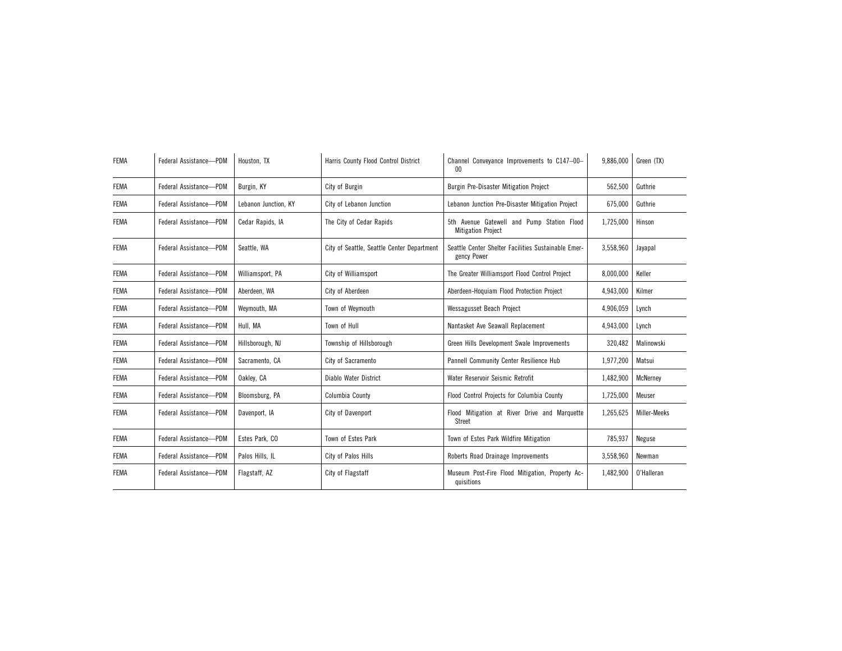| <b>FEMA</b> | Federal Assistance-PDM | Houston, TX          | Harris County Flood Control District       | Channel Conveyance Improvements to C147-00-<br>$00\,$                   | 9,886,000 | Green (TX)      |
|-------------|------------------------|----------------------|--------------------------------------------|-------------------------------------------------------------------------|-----------|-----------------|
| <b>FEMA</b> | Federal Assistance-PDM | Burgin, KY           | City of Burgin                             | Burgin Pre-Disaster Mitigation Project                                  | 562,500   | Guthrie         |
| <b>FEMA</b> | Federal Assistance-PDM | Lebanon Junction, KY | City of Lebanon Junction                   | Lebanon Junction Pre-Disaster Mitigation Project                        | 675,000   | Guthrie         |
| <b>FEMA</b> | Federal Assistance-PDM | Cedar Rapids, IA     | The City of Cedar Rapids                   | 5th Avenue Gatewell and Pump Station Flood<br><b>Mitigation Project</b> | 1,725,000 | Hinson          |
| <b>FEMA</b> | Federal Assistance-PDM | Seattle, WA          | City of Seattle, Seattle Center Department | Seattle Center Shelter Facilities Sustainable Emer-<br>gency Power      | 3,558,960 | Jayapal         |
| <b>FEMA</b> | Federal Assistance-PDM | Williamsport, PA     | City of Williamsport                       | The Greater Williamsport Flood Control Project                          | 8,000,000 | Keller          |
| <b>FEMA</b> | Federal Assistance-PDM | Aberdeen, WA         | City of Aberdeen                           | Aberdeen-Hoquiam Flood Protection Project                               | 4,943,000 | Kilmer          |
| <b>FEMA</b> | Federal Assistance-PDM | Weymouth, MA         | Town of Weymouth                           | Wessagusset Beach Project                                               | 4,906,059 | Lynch           |
| <b>FEMA</b> | Federal Assistance-PDM | Hull, MA             | Town of Hull                               | Nantasket Ave Seawall Replacement                                       | 4,943,000 | Lynch           |
| <b>FEMA</b> | Federal Assistance-PDM | Hillsborough, NJ     | Township of Hillsborough                   | Green Hills Development Swale Improvements                              | 320,482   | Malinowski      |
| <b>FEMA</b> | Federal Assistance-PDM | Sacramento, CA       | City of Sacramento                         | Pannell Community Center Resilience Hub                                 | 1,977,200 | Matsui          |
| <b>FEMA</b> | Federal Assistance-PDM | Oakley, CA           | Diablo Water District                      | Water Reservoir Seismic Retrofit                                        | 1,482,900 | <b>McNernev</b> |
| <b>FEMA</b> | Federal Assistance-PDM | Bloomsburg, PA       | Columbia County                            | Flood Control Projects for Columbia County                              | 1,725,000 | Meuser          |
| <b>FEMA</b> | Federal Assistance-PDM | Davenport, IA        | City of Davenport                          | Flood Mitigation at River Drive and Marquette<br>Street                 | 1,265,625 | Miller-Meeks    |
| <b>FEMA</b> | Federal Assistance-PDM | Estes Park, CO       | Town of Estes Park                         | Town of Estes Park Wildfire Mitigation                                  | 785,937   | Neguse          |
| <b>FEMA</b> | Federal Assistance-PDM | Palos Hills, IL      | City of Palos Hills                        | Roberts Road Drainage Improvements                                      | 3,558,960 | Newman          |
| <b>FEMA</b> | Federal Assistance-PDM | Flagstaff, AZ        | City of Flagstaff                          | Museum Post-Fire Flood Mitigation, Property Ac-<br>quisitions           | 1,482,900 | O'Halleran      |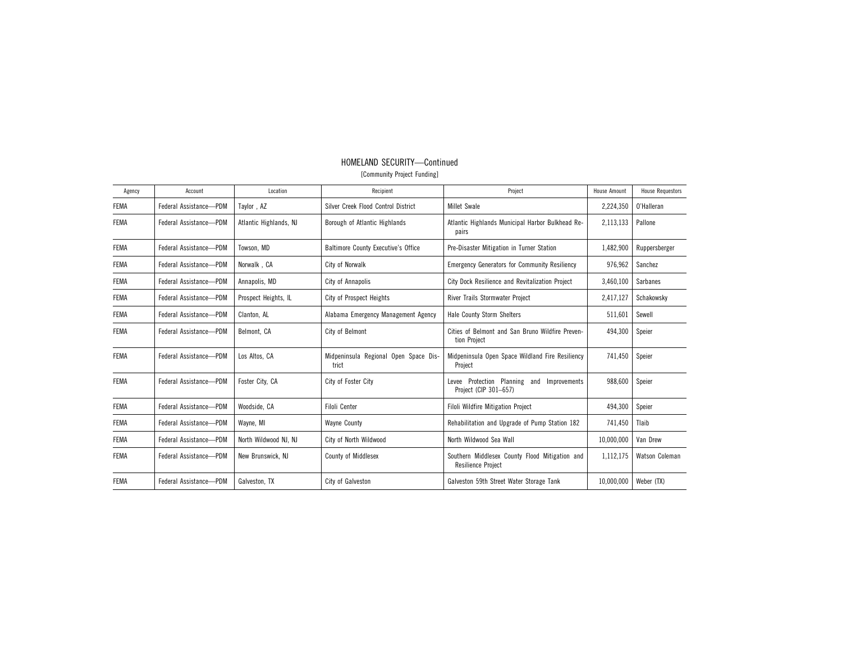| Agency      | Account                | Location               | Recipient                                      | Project                                                                     | <b>House Amount</b> | <b>House Requestors</b> |
|-------------|------------------------|------------------------|------------------------------------------------|-----------------------------------------------------------------------------|---------------------|-------------------------|
| <b>FEMA</b> | Federal Assistance-PDM | Taylor, AZ             | Silver Creek Flood Control District            | <b>Millet Swale</b>                                                         | 2,224,350           | O'Halleran              |
| <b>FEMA</b> | Federal Assistance-PDM | Atlantic Highlands, NJ | Borough of Atlantic Highlands                  | Atlantic Highlands Municipal Harbor Bulkhead Re-<br>pairs                   | 2,113,133           | Pallone                 |
| <b>FEMA</b> | Federal Assistance-PDM | Towson, MD             | <b>Baltimore County Executive's Office</b>     | Pre-Disaster Mitigation in Turner Station                                   | 1,482,900           | Ruppersberger           |
| <b>FEMA</b> | Federal Assistance-PDM | Norwalk, CA            | City of Norwalk                                | <b>Emergency Generators for Community Resiliency</b>                        | 976,962             | Sanchez                 |
| <b>FEMA</b> | Federal Assistance-PDM | Annapolis, MD          | City of Annapolis                              | City Dock Resilience and Revitalization Project                             | 3,460,100           | Sarbanes                |
| <b>FEMA</b> | Federal Assistance-PDM | Prospect Heights, IL   | <b>City of Prospect Heights</b>                | River Trails Stormwater Project                                             | 2,417,127           | Schakowsky              |
| <b>FEMA</b> | Federal Assistance-PDM | Clanton, AL            | Alabama Emergency Management Agency            | <b>Hale County Storm Shelters</b>                                           | 511,601             | Sewell                  |
| <b>FEMA</b> | Federal Assistance-PDM | Belmont, CA            | City of Belmont                                | Cities of Belmont and San Bruno Wildfire Preven-<br>tion Project            | 494,300             | Speier                  |
| <b>FEMA</b> | Federal Assistance-PDM | Los Altos, CA          | Midpeninsula Regional Open Space Dis-<br>trict | Midpeninsula Open Space Wildland Fire Resiliency<br>Project                 | 741.450             | Speier                  |
| <b>FEMA</b> | Federal Assistance-PDM | Foster City, CA        | City of Foster City                            | Levee Protection Planning and<br>Improvements<br>Project (CIP 301-657)      | 988.600             | Speier                  |
| <b>FEMA</b> | Federal Assistance-PDM | Woodside, CA           | <b>Filoli Center</b>                           | <b>Filoli Wildfire Mitigation Project</b>                                   | 494,300             | Speier                  |
| <b>FEMA</b> | Federal Assistance-PDM | Wayne, MI              | <b>Wayne County</b>                            | Rehabilitation and Upgrade of Pump Station 182                              | 741,450             | Tlaib                   |
| <b>FEMA</b> | Federal Assistance-PDM | North Wildwood NJ, NJ  | City of North Wildwood                         | North Wildwood Sea Wall                                                     | 10,000,000          | Van Drew                |
| <b>FEMA</b> | Federal Assistance-PDM | New Brunswick, NJ      | County of Middlesex                            | Southern Middlesex County Flood Mitigation and<br><b>Resilience Project</b> | 1,112,175           | Watson Coleman          |
| <b>FEMA</b> | Federal Assistance-PDM | Galveston, TX          | City of Galveston                              | Galveston 59th Street Water Storage Tank                                    | 10,000,000          | Weber (TX)              |

## HOMELAND SECURITY—Continued [Community Project Funding]